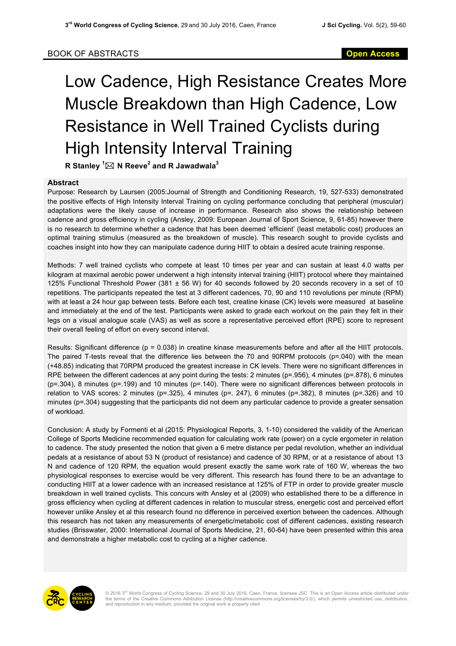## Low Cadence, High Resistance Creates More Muscle Breakdown than High Cadence, Low Resistance in Well Trained Cyclists during High Intensity Interval Training

 ${\mathsf R}$  Stanley  ${}^1\!\boxtimes {\mathsf N}$  Reeve ${}^2$  and R Jawadwala ${}^3$ 

## **Abstract**

Purpose: Research by Laursen (2005:Journal of Strength and Conditioning Research, 19, 527-533) demonstrated the positive effects of High Intensity Interval Training on cycling performance concluding that peripheral (muscular) adaptations were the likely cause of increase in performance. Research also shows the relationship between cadence and gross efficiency in cycling (Ansley, 2009: European Journal of Sport Science, 9, 61-85) however there is no research to determine whether a cadence that has been deemed 'efficient' (least metabolic cost) produces an optimal training stimulus (measured as the breakdown of muscle). This research sought to provide cyclists and coaches insight into how they can manipulate cadence during HIIT to obtain a desired acute training response.

Methods: 7 well trained cyclists who compete at least 10 times per year and can sustain at least 4.0 watts per kilogram at maximal aerobic power underwent a high intensity interval training (HIIT) protocol where they maintained 125% Functional Threshold Power (381 ± 56 W) for 40 seconds followed by 20 seconds recovery in a set of 10 repetitions. The participants repeated the test at 3 different cadences, 70, 90 and 110 revolutions per minute (RPM) with at least a 24 hour gap between tests. Before each test, creatine kinase (CK) levels were measured at baseline and immediately at the end of the test. Participants were asked to grade each workout on the pain they felt in their legs on a visual analogue scale (VAS) as well as score a representative perceived effort (RPE) score to represent their overall feeling of effort on every second interval.

Results: Significant difference (p = 0.038) in creatine kinase measurements before and after all the HIIT protocols. The paired T-tests reveal that the difference lies between the 70 and 90RPM protocols (p=.040) with the mean (+48.85) indicating that 70RPM produced the greatest increase in CK levels. There were no significant differences in RPE between the different cadences at any point during the tests: 2 minutes (p=.956), 4 minutes (p=.878), 6 minutes (p=.304), 8 minutes (p=.199) and 10 minutes (p=.140). There were no significant differences between protocols in relation to VAS scores: 2 minutes (p=.325), 4 minutes (p=. 247), 6 minutes (p=.382), 8 minutes (p=.326) and 10 minutes (p=.304) suggesting that the participants did not deem any particular cadence to provide a greater sensation of workload.

Conclusion: A study by Formenti et al (2015: Physiological Reports, 3, 1-10) considered the validity of the American College of Sports Medicine recommended equation for calculating work rate (power) on a cycle ergometer in relation to cadence. The study presented the notion that given a 6 metre distance per pedal revolution, whether an individual pedals at a resistance of about 53 N (product of resistance) and cadence of 30 RPM, or at a resistance of about 13 N and cadence of 120 RPM, the equation would present exactly the same work rate of 160 W, whereas the two physiological responses to exercise would be very different. This research has found there to be an advantage to conducting HIIT at a lower cadence with an increased resistance at 125% of FTP in order to provide greater muscle breakdown in well trained cyclists. This concurs with Ansley et al (2009) who established there to be a difference in gross efficiency when cycling at different cadences in relation to muscular stress, energetic cost and perceived effort however unlike Ansley et al this research found no difference in perceived exertion between the cadences. Although this research has not taken any measurements of energetic/metabolic cost of different cadences, existing research studies (Brisswater, 2000: International Journal of Sports Medicine, 21, 60-64) have been presented within this area and demonstrate a higher metabolic cost to cycling at a higher cadence.



© 2016 3<sup>rd</sup> World Congress of Cycling Science, 29 and 30 July 2016, Caen, France. licensee JSC. This is an Open Access article distributed under<br>the terms of the Creative Commons Attribution License (http://creativecommon and reproduction in any medium, provided the original work is properly cited.